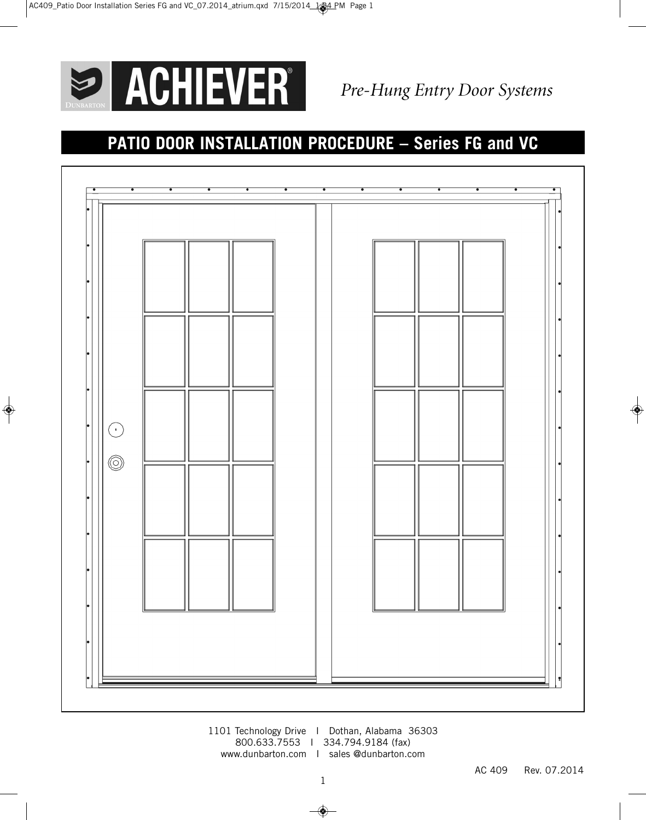

# **PATIO DOOR INSTALLATION PROCEDURE – Series FG and VC**



1101 Technology Drive I Dothan, Alabama 36303 800.633.7553 I 334.794.9184 (fax) www.dunbarton.com I sales @dunbarton.com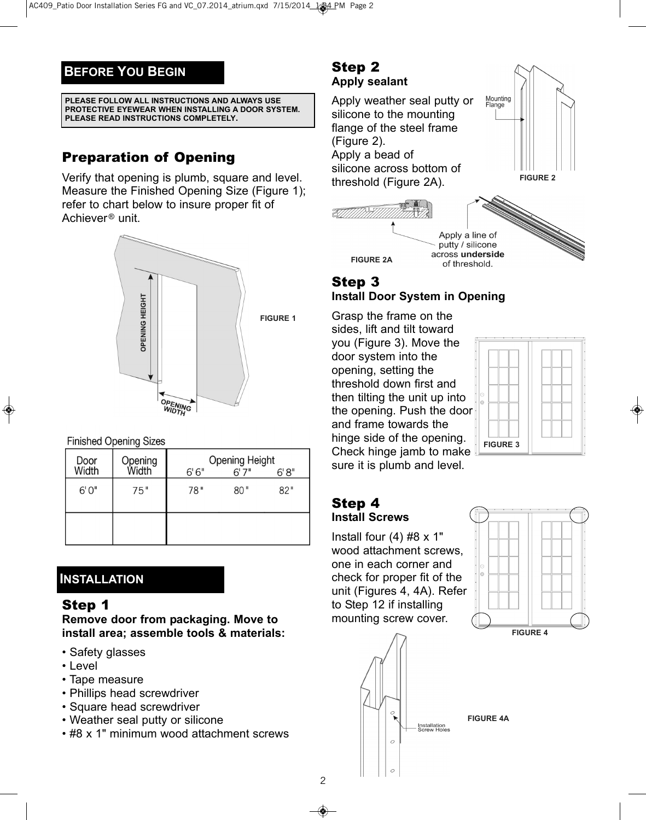### **BEFORE YOU BEGIN**

#### **PLEASE FOLLOW ALL INSTRUCTIONS AND ALWAYS USE PROTECTIVE EYEWEAR WHEN INSTALLING A DOOR SYSTEM. PLEASE READ INSTRUCTIONS COMPLETELY.**

# Preparation of Opening

Verify that opening is plumb, square and level. Measure the Finished Opening Size (Figure 1); refer to chart below to insure proper fit of Achiever<sup>®</sup> unit.



#### **Finished Opening Sizes**

| Door<br>Width | Opening<br>Width | <b>Opening Height</b><br>6'6''<br>6'7''<br>6'8'' |     |     |
|---------------|------------------|--------------------------------------------------|-----|-----|
| 6'0''         | 75"              | 78"                                              | 80" | 82" |
|               |                  |                                                  |     |     |

### **INSTALLATION**

### Step 1

**Remove door from packaging. Move to install area; assemble tools & materials:**

- Safety glasses
- Level
- Tape measure
- Phillips head screwdriver
- Square head screwdriver
- Weather seal putty or silicone
- #8 x 1" minimum wood attachment screws

#### Step 2 **Apply sealant**

Apply weather seal putty or silicone to the mounting flange of the steel frame (Figure 2). Apply a bead of silicone across bottom of threshold (Figure 2A).





## Step 3 **Install Door System in Opening**

Grasp the frame on the sides, lift and tilt toward you (Figure 3). Move the door system into the opening, setting the threshold down first and then tilting the unit up into the opening. Push the door and frame towards the hinge side of the opening. Check hinge jamb to make sure it is plumb and level.



#### Step 4 **Install Screws**

Install four  $(4)$  #8 x 1" wood attachment screws, one in each corner and check for proper fit of the unit (Figures 4, 4A). Refer to Step 12 if installing mounting screw cover.

 $\lambda$ 

 $\circ$ 





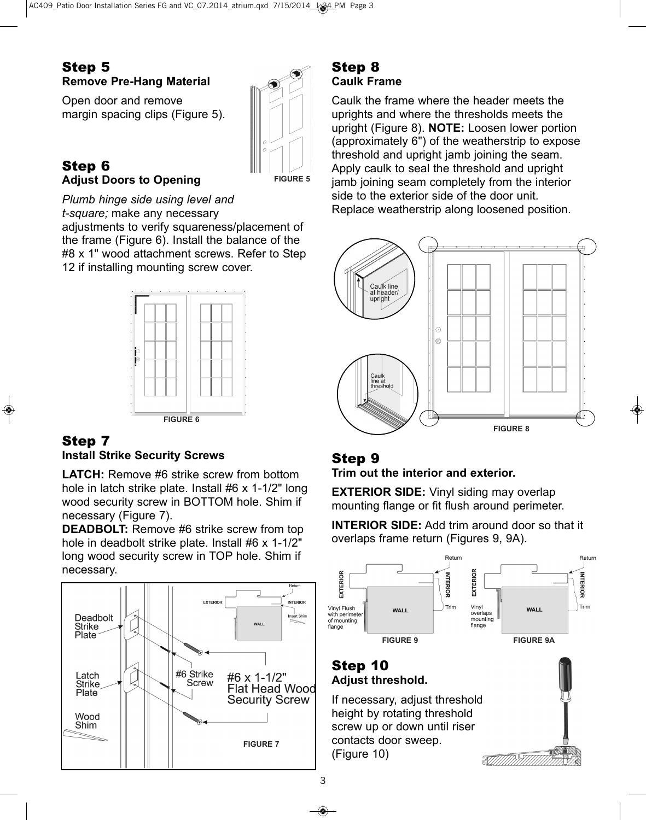### Step 5 **Remove Pre-Hang Material**

Open door and remove margin spacing clips (Figure 5).



#### Step 6 **Adjust Doors to Opening**

**FIGURE 5**

*Plumb hinge side using level and t-square;* make any necessary

adjustments to verify squareness/placement of the frame (Figure 6). Install the balance of the #8 x 1" wood attachment screws. Refer to Step 12 if installing mounting screw cover.



#### Step 7 **Install Strike Security Screws**

**LATCH:** Remove #6 strike screw from bottom hole in latch strike plate. Install #6 x 1-1/2" long wood security screw in BOTTOM hole. Shim if necessary (Figure 7).

**DEADBOLT:** Remove #6 strike screw from top hole in deadbolt strike plate. Install #6 x 1-1/2" long wood security screw in TOP hole. Shim if necessary.



### Step 8 **Caulk Frame**

Caulk the frame where the header meets the uprights and where the thresholds meets the upright (Figure 8). **NOTE:** Loosen lower portion (approximately 6") of the weatherstrip to expose threshold and upright jamb joining the seam. Apply caulk to seal the threshold and upright jamb joining seam completely from the interior side to the exterior side of the door unit. Replace weatherstrip along loosened position.



## Step 9

**Trim out the interior and exterior.**

**EXTERIOR SIDE:** Vinyl siding may overlap mounting flange or fit flush around perimeter.

**INTERIOR SIDE:** Add trim around door so that it overlaps frame return (Figures 9, 9A).



### Step 10 **Adjust threshold.**

If necessary, adjust threshold height by rotating threshold screw up or down until riser contacts door sweep. (Figure 10)